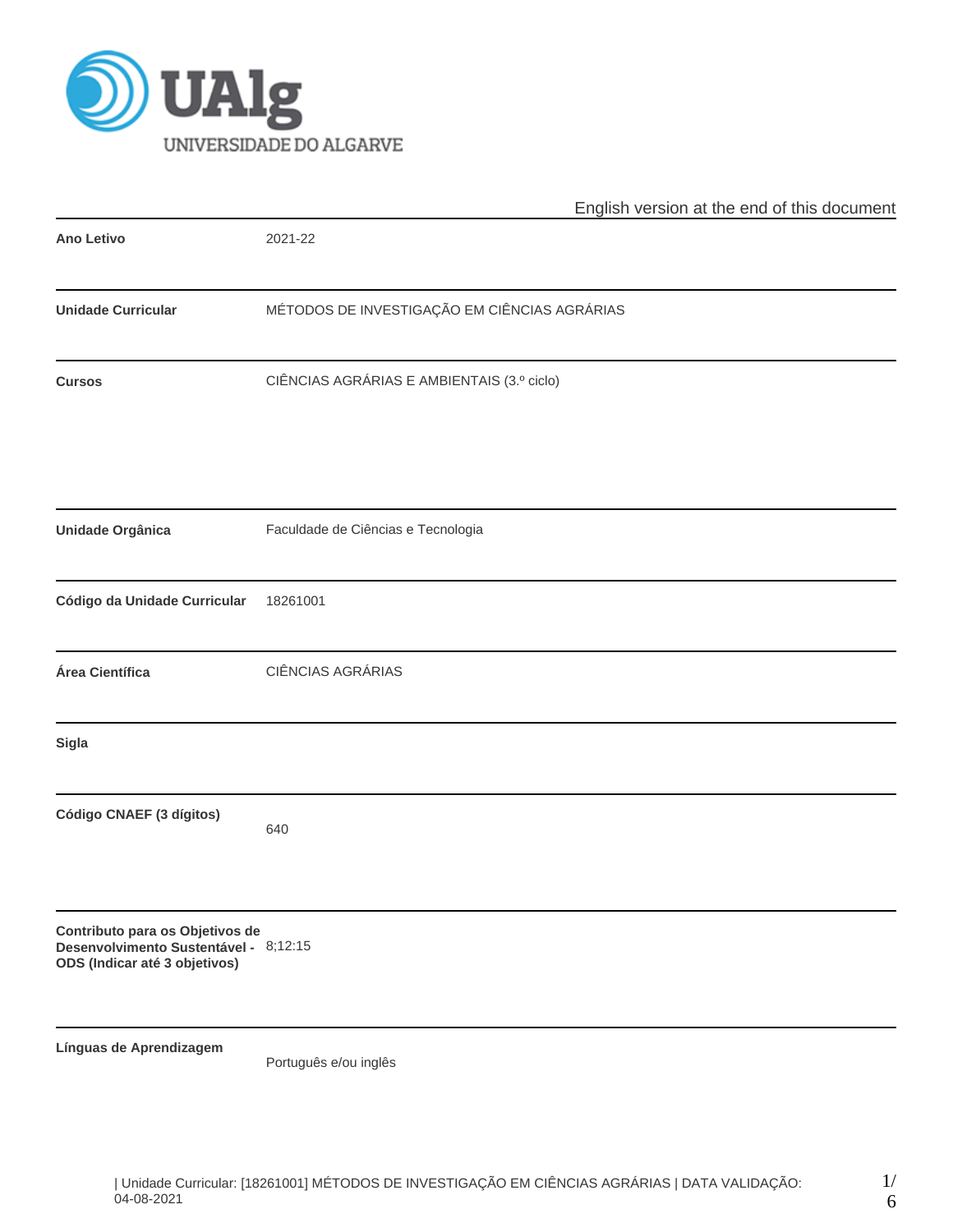

|                                                                                                           | English version at the end of this document  |  |  |  |  |  |  |
|-----------------------------------------------------------------------------------------------------------|----------------------------------------------|--|--|--|--|--|--|
| <b>Ano Letivo</b>                                                                                         | 2021-22                                      |  |  |  |  |  |  |
| <b>Unidade Curricular</b>                                                                                 | MÉTODOS DE INVESTIGAÇÃO EM CIÊNCIAS AGRÁRIAS |  |  |  |  |  |  |
| <b>Cursos</b>                                                                                             | CIÊNCIAS AGRÁRIAS E AMBIENTAIS (3.º ciclo)   |  |  |  |  |  |  |
| <b>Unidade Orgânica</b>                                                                                   | Faculdade de Ciências e Tecnologia           |  |  |  |  |  |  |
| Código da Unidade Curricular                                                                              | 18261001                                     |  |  |  |  |  |  |
| Área Científica                                                                                           | CIÊNCIAS AGRÁRIAS                            |  |  |  |  |  |  |
| <b>Sigla</b>                                                                                              |                                              |  |  |  |  |  |  |
| Código CNAEF (3 dígitos)                                                                                  | 640                                          |  |  |  |  |  |  |
| Contributo para os Objetivos de<br>Desenvolvimento Sustentável - 8;12:15<br>ODS (Indicar até 3 objetivos) |                                              |  |  |  |  |  |  |
| Línguas de Aprendizagem                                                                                   | Português e/ou inglês                        |  |  |  |  |  |  |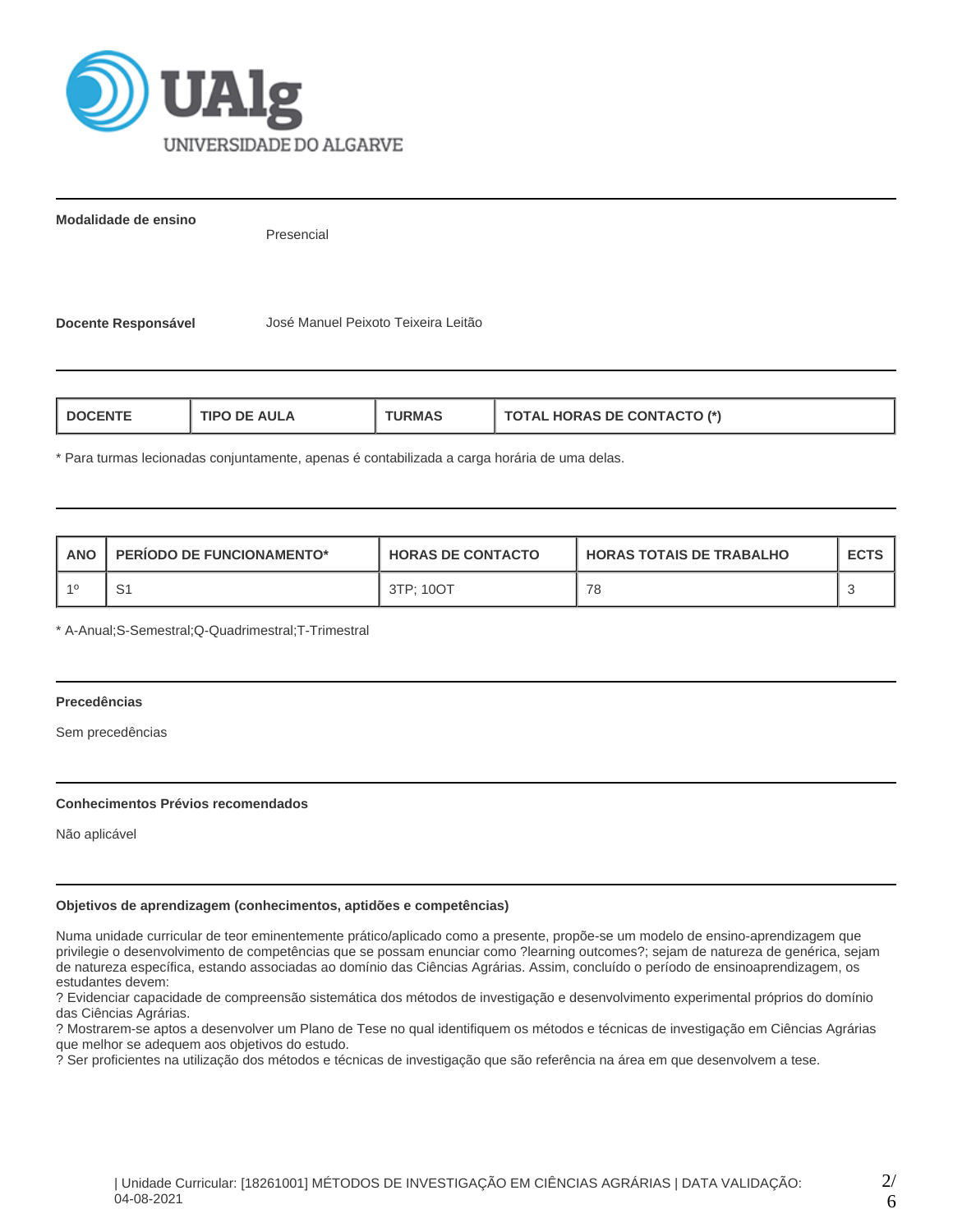

**Modalidade de ensino**

Presencial

**Docente Responsável** José Manuel Peixoto Teixeira Leitão

| <b>HORAS DE CONTACTO (*)</b><br><b>AULA</b><br><b>I DOCENT</b><br>1PO<br>ਾ?MA<br><b>HAL</b> |
|---------------------------------------------------------------------------------------------|
|---------------------------------------------------------------------------------------------|

\* Para turmas lecionadas conjuntamente, apenas é contabilizada a carga horária de uma delas.

| <b>ANO</b> | PERIODO DE FUNCIONAMENTO* | <b>HORAS DE CONTACTO</b> | I HORAS TOTAIS DE TRABALHO | <b>ECTS</b> |
|------------|---------------------------|--------------------------|----------------------------|-------------|
|            | ت                         | 3TP: 10OT                | 78                         |             |

\* A-Anual;S-Semestral;Q-Quadrimestral;T-Trimestral

# **Precedências**

Sem precedências

## **Conhecimentos Prévios recomendados**

Não aplicável

## **Objetivos de aprendizagem (conhecimentos, aptidões e competências)**

Numa unidade curricular de teor eminentemente prático/aplicado como a presente, propõe-se um modelo de ensino-aprendizagem que privilegie o desenvolvimento de competências que se possam enunciar como ?learning outcomes?; sejam de natureza de genérica, sejam de natureza específica, estando associadas ao domínio das Ciências Agrárias. Assim, concluído o período de ensinoaprendizagem, os estudantes devem:

? Evidenciar capacidade de compreensão sistemática dos métodos de investigação e desenvolvimento experimental próprios do domínio das Ciências Agrárias.

? Mostrarem-se aptos a desenvolver um Plano de Tese no qual identifiquem os métodos e técnicas de investigação em Ciências Agrárias que melhor se adequem aos objetivos do estudo.

? Ser proficientes na utilização dos métodos e técnicas de investigação que são referência na área em que desenvolvem a tese.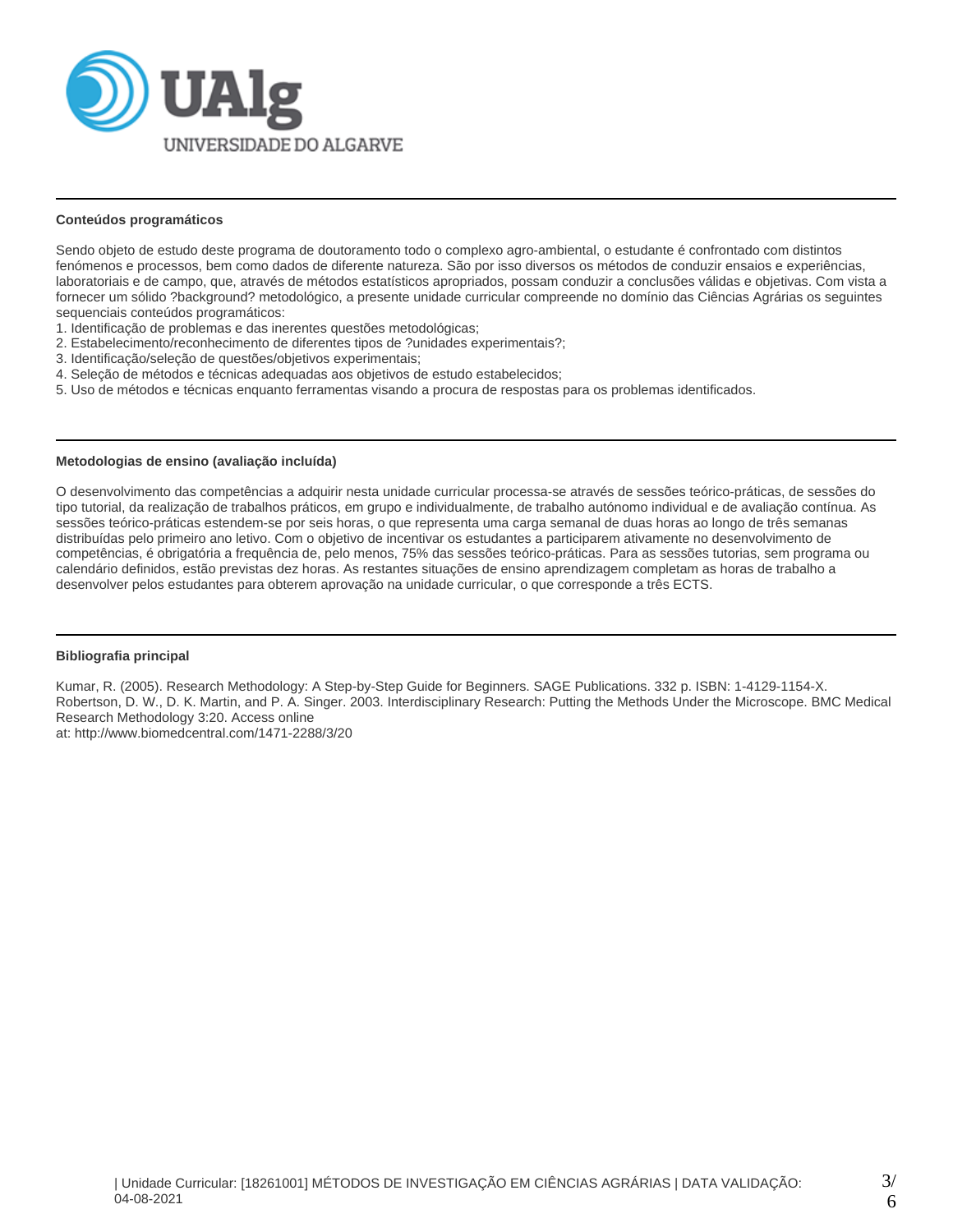

## **Conteúdos programáticos**

Sendo objeto de estudo deste programa de doutoramento todo o complexo agro-ambiental, o estudante é confrontado com distintos fenómenos e processos, bem como dados de diferente natureza. São por isso diversos os métodos de conduzir ensaios e experiências, laboratoriais e de campo, que, através de métodos estatísticos apropriados, possam conduzir a conclusões válidas e objetivas. Com vista a fornecer um sólido ?background? metodológico, a presente unidade curricular compreende no domínio das Ciências Agrárias os seguintes sequenciais conteúdos programáticos:

- 1. Identificação de problemas e das inerentes questões metodológicas;
- 2. Estabelecimento/reconhecimento de diferentes tipos de ?unidades experimentais?;
- 3. Identificação/seleção de questões/objetivos experimentais;
- 4. Seleção de métodos e técnicas adequadas aos objetivos de estudo estabelecidos;
- 5. Uso de métodos e técnicas enquanto ferramentas visando a procura de respostas para os problemas identificados.

## **Metodologias de ensino (avaliação incluída)**

O desenvolvimento das competências a adquirir nesta unidade curricular processa-se através de sessões teórico-práticas, de sessões do tipo tutorial, da realização de trabalhos práticos, em grupo e individualmente, de trabalho autónomo individual e de avaliação contínua. As sessões teórico-práticas estendem-se por seis horas, o que representa uma carga semanal de duas horas ao longo de três semanas distribuídas pelo primeiro ano letivo. Com o objetivo de incentivar os estudantes a participarem ativamente no desenvolvimento de competências, é obrigatória a frequência de, pelo menos, 75% das sessões teórico-práticas. Para as sessões tutorias, sem programa ou calendário definidos, estão previstas dez horas. As restantes situações de ensino aprendizagem completam as horas de trabalho a desenvolver pelos estudantes para obterem aprovação na unidade curricular, o que corresponde a três ECTS.

## **Bibliografia principal**

Kumar, R. (2005). Research Methodology: A Step-by-Step Guide for Beginners. SAGE Publications. 332 p. ISBN: 1-4129-1154-X. Robertson, D. W., D. K. Martin, and P. A. Singer. 2003. Interdisciplinary Research: Putting the Methods Under the Microscope. BMC Medical Research Methodology 3:20. Access online at: http://www.biomedcentral.com/1471-2288/3/20

| Unidade Curricular: [18261001] MÉTODOS DE INVESTIGAÇÃO EM CIÊNCIAS AGRÁRIAS | DATA VALIDAÇÃO: 04-08-2021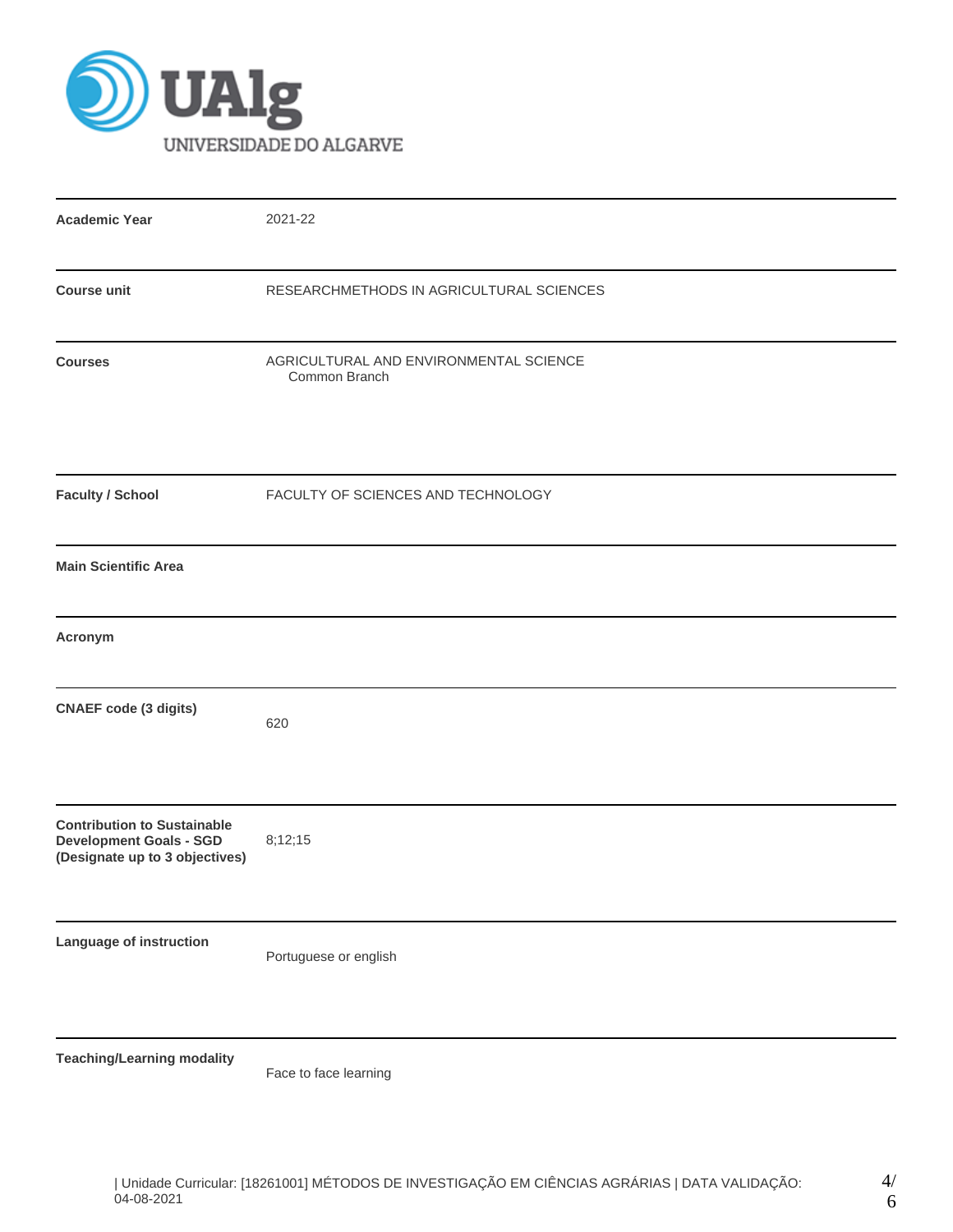

| <b>Academic Year</b>                                                                                   | 2021-22                                                 |
|--------------------------------------------------------------------------------------------------------|---------------------------------------------------------|
| <b>Course unit</b>                                                                                     | RESEARCHMETHODS IN AGRICULTURAL SCIENCES                |
| <b>Courses</b>                                                                                         | AGRICULTURAL AND ENVIRONMENTAL SCIENCE<br>Common Branch |
| <b>Faculty / School</b>                                                                                | FACULTY OF SCIENCES AND TECHNOLOGY                      |
| <b>Main Scientific Area</b>                                                                            |                                                         |
| Acronym                                                                                                |                                                         |
| <b>CNAEF code (3 digits)</b>                                                                           | 620                                                     |
| <b>Contribution to Sustainable</b><br><b>Development Goals - SGD</b><br>(Designate up to 3 objectives) | 8;12;15                                                 |
| Language of instruction                                                                                | Portuguese or english                                   |
| <b>Teaching/Learning modality</b>                                                                      |                                                         |

Face to face learning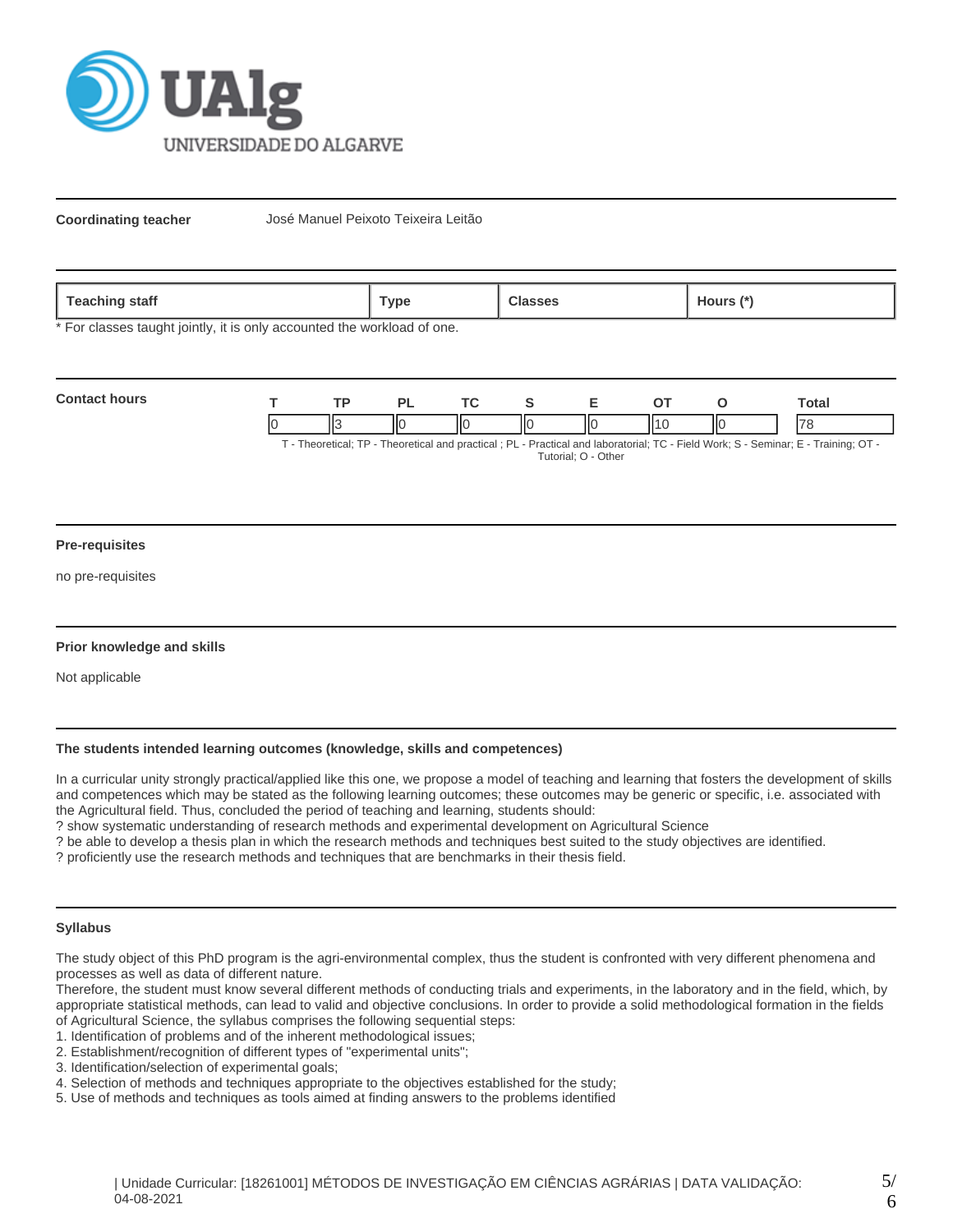

**Coordinating teacher** José Manuel Peixoto Teixeira Leitão

| 020<br>statt<br><b>COLLIN</b><br>- | vpe' |  | ours |
|------------------------------------|------|--|------|
|------------------------------------|------|--|------|

\* For classes taught jointly, it is only accounted the workload of one.

| <b>Contact hours</b> |    |   |    |   |    |    |    | `otal                                                                                                                                                                                                                                 |
|----------------------|----|---|----|---|----|----|----|---------------------------------------------------------------------------------------------------------------------------------------------------------------------------------------------------------------------------------------|
|                      | Шá | Ш | IЮ | Ш | IЮ | 11 | ١К | 7c<br>$T$ . The contrast $TD$ . The contrast contrast of $D$ is $D$ and $D$ and the contrast $T$ $D$ . The HMA and $D$ $D$ $D$ and $D$ $T$ is $D$ $T$ is $D$ $T$ is $D$ $T$ is $D$ $T$ is $D$ $T$ is $D$ $T$ is $D$ $T$ is $D$ is $D$ |

T - Theoretical; TP - Theoretical and practical ; PL - Practical and laboratorial; TC - Field Work; S - Seminar; E - Training; OT - Tutorial; O - Other

#### **Pre-requisites**

no pre-requisites

## **Prior knowledge and skills**

Not applicable

# **The students intended learning outcomes (knowledge, skills and competences)**

In a curricular unity strongly practical/applied like this one, we propose a model of teaching and learning that fosters the development of skills and competences which may be stated as the following learning outcomes; these outcomes may be generic or specific, i.e. associated with the Agricultural field. Thus, concluded the period of teaching and learning, students should:

? show systematic understanding of research methods and experimental development on Agricultural Science

? be able to develop a thesis plan in which the research methods and techniques best suited to the study objectives are identified.

? proficiently use the research methods and techniques that are benchmarks in their thesis field.

## **Syllabus**

The study object of this PhD program is the agri-environmental complex, thus the student is confronted with very different phenomena and processes as well as data of different nature.

Therefore, the student must know several different methods of conducting trials and experiments, in the laboratory and in the field, which, by appropriate statistical methods, can lead to valid and objective conclusions. In order to provide a solid methodological formation in the fields of Agricultural Science, the syllabus comprises the following sequential steps:

1. Identification of problems and of the inherent methodological issues;

- 3. Identification/selection of experimental goals;
- 4. Selection of methods and techniques appropriate to the objectives established for the study;
- 5. Use of methods and techniques as tools aimed at finding answers to the problems identified

<sup>2.</sup> Establishment/recognition of different types of "experimental units";